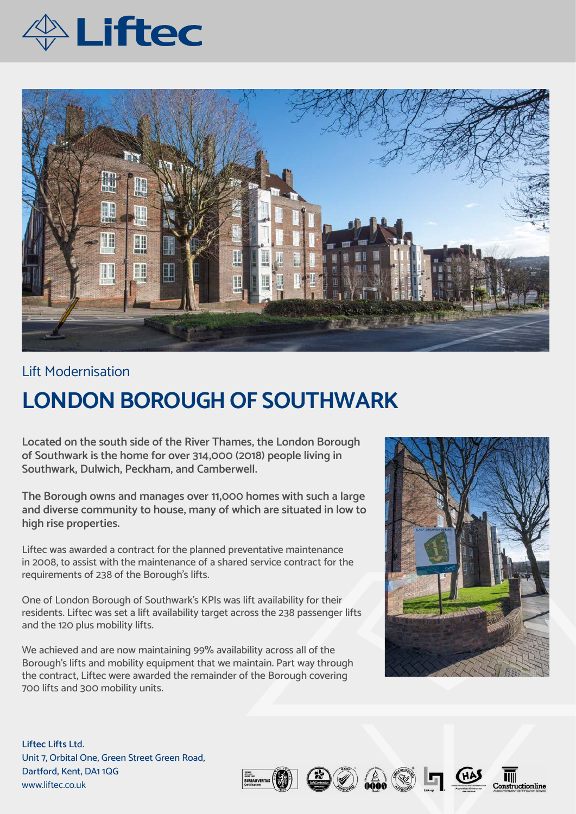



## Lift Modernisation

## **LONDON BOROUGH OF SOUTHWARK**

**Located on the south side of the River Thames, the London Borough of Southwark is the home for over 314,000 (2018) people living in Southwark, Dulwich, Peckham, and Camberwell.** 

**The Borough owns and manages over 11,000 homes with such a large and diverse community to house, many of which are situated in low to high rise properties.** 

Liftec was awarded a contract for the planned preventative maintenance in 2008, to assist with the maintenance of a shared service contract for the requirements of 238 of the Borough's lifts.

One of London Borough of Southwark's KPIs was lift availability for their residents. Liftec was set a lift availability target across the 238 passenger lifts and the 120 plus mobility lifts.

We achieved and are now maintaining 99% availability across all of the Borough's lifts and mobility equipment that we maintain. Part way through the contract, Liftec were awarded the remainder of the Borough covering 700 lifts and 300 mobility units.



**Liftec Lifts Lt**d. Unit 7, Orbital One, Green Street Green Road, Dartford, Kent, DA1 1QG www.liftec.co.uk